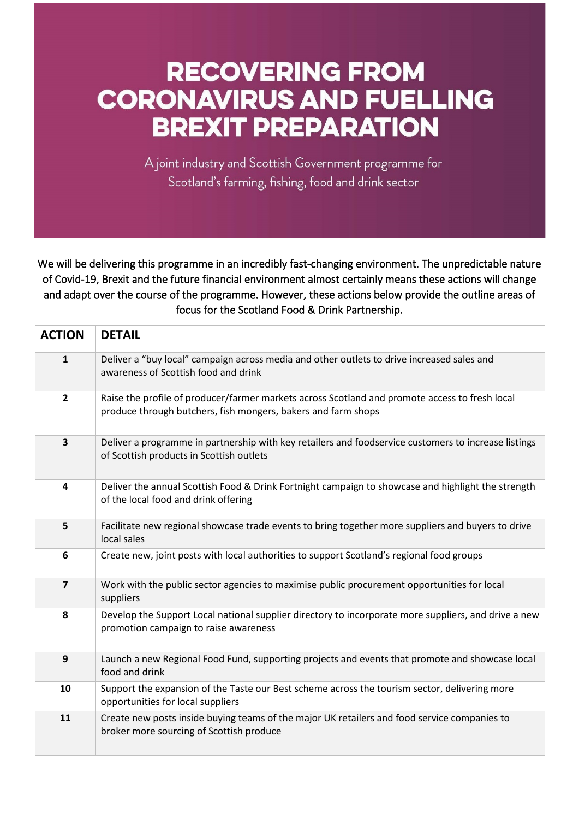## **RECOVERING FROM CORONAVIRUS AND FUELLING BREXIT PREPARATION**

A joint industry and Scottish Government programme for Scotland's farming, fishing, food and drink sector

We will be delivering this programme in an incredibly fast-changing environment. The unpredictable nature of Covid-19, Brexit and the future financial environment almost certainly means these actions will change and adapt over the course of the programme. However, these actions below provide the outline areas of focus for the Scotland Food & Drink Partnership.

Ĩ

| <b>ACTION</b>           | <b>DETAIL</b>                                                                                                                                                   |
|-------------------------|-----------------------------------------------------------------------------------------------------------------------------------------------------------------|
| 1                       | Deliver a "buy local" campaign across media and other outlets to drive increased sales and<br>awareness of Scottish food and drink                              |
| $\overline{2}$          | Raise the profile of producer/farmer markets across Scotland and promote access to fresh local<br>produce through butchers, fish mongers, bakers and farm shops |
| 3                       | Deliver a programme in partnership with key retailers and foodservice customers to increase listings<br>of Scottish products in Scottish outlets                |
| 4                       | Deliver the annual Scottish Food & Drink Fortnight campaign to showcase and highlight the strength<br>of the local food and drink offering                      |
| 5                       | Facilitate new regional showcase trade events to bring together more suppliers and buyers to drive<br>local sales                                               |
| 6                       | Create new, joint posts with local authorities to support Scotland's regional food groups                                                                       |
| $\overline{\mathbf{z}}$ | Work with the public sector agencies to maximise public procurement opportunities for local<br>suppliers                                                        |
| 8                       | Develop the Support Local national supplier directory to incorporate more suppliers, and drive a new<br>promotion campaign to raise awareness                   |
| 9                       | Launch a new Regional Food Fund, supporting projects and events that promote and showcase local<br>food and drink                                               |
| 10                      | Support the expansion of the Taste our Best scheme across the tourism sector, delivering more<br>opportunities for local suppliers                              |
| 11                      | Create new posts inside buying teams of the major UK retailers and food service companies to<br>broker more sourcing of Scottish produce                        |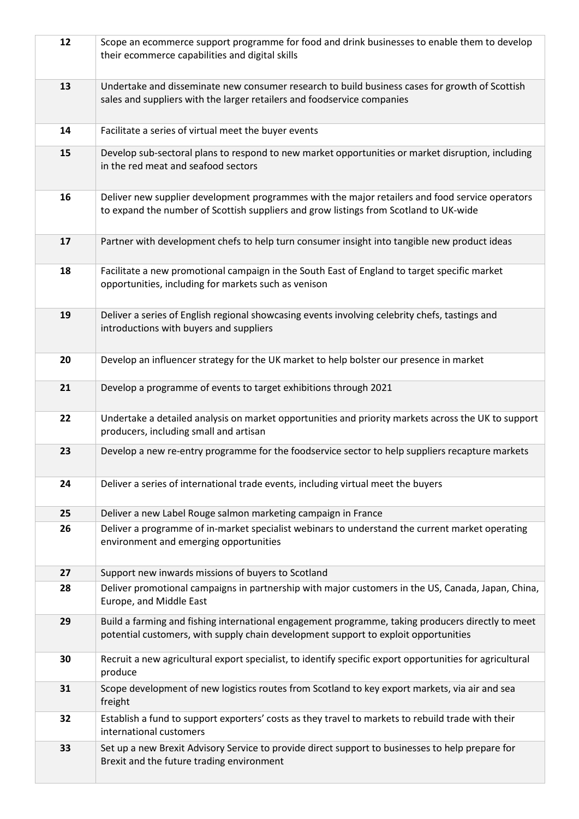| 12 | Scope an ecommerce support programme for food and drink businesses to enable them to develop<br>their ecommerce capabilities and digital skills                                          |
|----|------------------------------------------------------------------------------------------------------------------------------------------------------------------------------------------|
| 13 | Undertake and disseminate new consumer research to build business cases for growth of Scottish<br>sales and suppliers with the larger retailers and foodservice companies                |
| 14 | Facilitate a series of virtual meet the buyer events                                                                                                                                     |
| 15 | Develop sub-sectoral plans to respond to new market opportunities or market disruption, including<br>in the red meat and seafood sectors                                                 |
| 16 | Deliver new supplier development programmes with the major retailers and food service operators<br>to expand the number of Scottish suppliers and grow listings from Scotland to UK-wide |
| 17 | Partner with development chefs to help turn consumer insight into tangible new product ideas                                                                                             |
| 18 | Facilitate a new promotional campaign in the South East of England to target specific market<br>opportunities, including for markets such as venison                                     |
| 19 | Deliver a series of English regional showcasing events involving celebrity chefs, tastings and<br>introductions with buyers and suppliers                                                |
| 20 | Develop an influencer strategy for the UK market to help bolster our presence in market                                                                                                  |
| 21 | Develop a programme of events to target exhibitions through 2021                                                                                                                         |
| 22 | Undertake a detailed analysis on market opportunities and priority markets across the UK to support<br>producers, including small and artisan                                            |
| 23 | Develop a new re-entry programme for the foodservice sector to help suppliers recapture markets                                                                                          |
| 24 | Deliver a series of international trade events, including virtual meet the buyers                                                                                                        |
| 25 | Deliver a new Label Rouge salmon marketing campaign in France                                                                                                                            |
| 26 | Deliver a programme of in-market specialist webinars to understand the current market operating<br>environment and emerging opportunities                                                |
| 27 | Support new inwards missions of buyers to Scotland                                                                                                                                       |
| 28 | Deliver promotional campaigns in partnership with major customers in the US, Canada, Japan, China,<br>Europe, and Middle East                                                            |
| 29 | Build a farming and fishing international engagement programme, taking producers directly to meet<br>potential customers, with supply chain development support to exploit opportunities |
| 30 | Recruit a new agricultural export specialist, to identify specific export opportunities for agricultural<br>produce                                                                      |
| 31 | Scope development of new logistics routes from Scotland to key export markets, via air and sea<br>freight                                                                                |
| 32 | Establish a fund to support exporters' costs as they travel to markets to rebuild trade with their<br>international customers                                                            |
| 33 | Set up a new Brexit Advisory Service to provide direct support to businesses to help prepare for<br>Brexit and the future trading environment                                            |